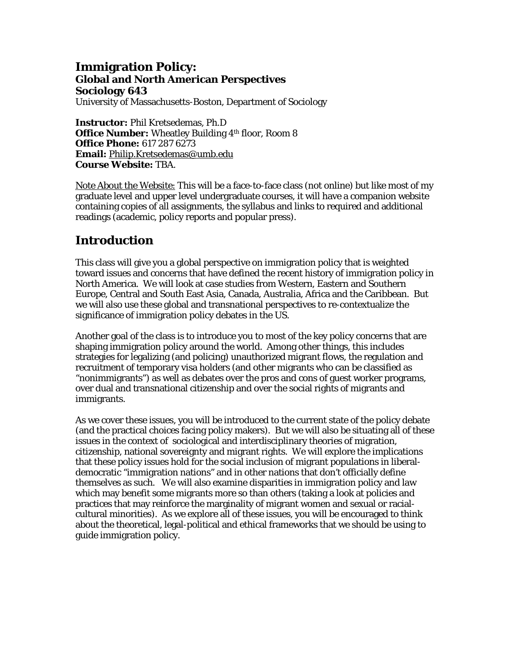## **Immigration Policy: Global and North American Perspectives Sociology 643**

University of Massachusetts-Boston, Department of Sociology

**Instructor:** Phil Kretsedemas, Ph.D **Office Number:** Wheatley Building 4<sup>th</sup> floor, Room 8 **Office Phone:** 617 287 6273 **Email:** Philip.Kretsedemas@umb.edu **Course Website:** TBA.

Note About the Website: This will be a face-to-face class (not online) but like most of my graduate level and upper level undergraduate courses, it will have a companion website containing copies of all assignments, the syllabus and links to required and additional readings (academic, policy reports and popular press).

# **Introduction**

This class will give you a global perspective on immigration policy that is weighted toward issues and concerns that have defined the recent history of immigration policy in North America. We will look at case studies from Western, Eastern and Southern Europe, Central and South East Asia, Canada, Australia, Africa and the Caribbean. But we will also use these global and transnational perspectives to re-contextualize the significance of immigration policy debates in the US.

Another goal of the class is to introduce you to most of the key policy concerns that are shaping immigration policy around the world. Among other things, this includes strategies for legalizing (and policing) unauthorized migrant flows, the regulation and recruitment of temporary visa holders (and other migrants who can be classified as "nonimmigrants") as well as debates over the pros and cons of guest worker programs, over dual and transnational citizenship and over the social rights of migrants and immigrants.

As we cover these issues, you will be introduced to the current state of the policy debate (and the practical choices facing policy makers). But we will also be situating all of these issues in the context of sociological and interdisciplinary theories of migration, citizenship, national sovereignty and migrant rights. We will explore the implications that these policy issues hold for the social inclusion of migrant populations in liberaldemocratic "immigration nations" and in other nations that don't officially define themselves as such. We will also examine disparities in immigration policy and law which may benefit some migrants more so than others (taking a look at policies and practices that may reinforce the marginality of migrant women and sexual or racialcultural minorities). As we explore all of these issues, you will be encouraged to think about the theoretical, legal-political and ethical frameworks that we should be using to guide immigration policy.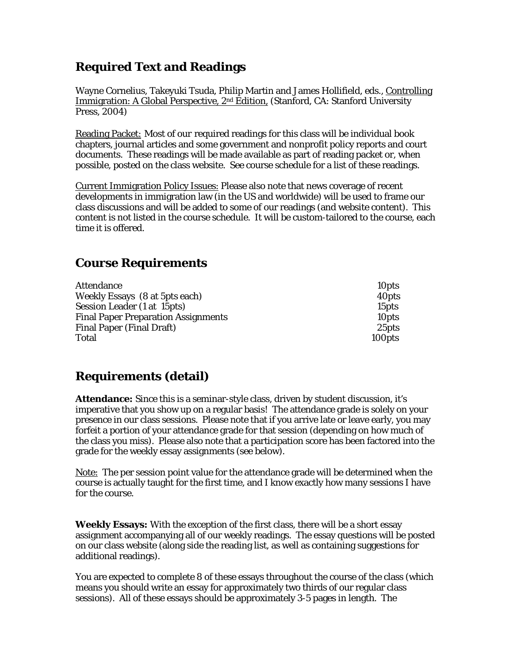# **Required Text and Readings**

Wayne Cornelius, Takeyuki Tsuda, Philip Martin and James Hollifield, eds., Controlling Immigration: A Global Perspective, 2<sup>nd</sup> Edition, (Stanford, CA: Stanford University Press, 2004)

Reading Packet: Most of our required readings for this class will be individual book chapters, journal articles and some government and nonprofit policy reports and court documents. These readings will be made available as part of reading packet or, when possible, posted on the class website. See course schedule for a list of these readings.

Current Immigration Policy Issues: Please also note that news coverage of recent developments in immigration law (in the US and worldwide) will be used to frame our class discussions and will be added to some of our readings (and website content). This content is not listed in the course schedule. It will be custom-tailored to the course, each time it is offered.

# **Course Requirements**

| <b>Attendance</b>                          | 10 <sub>pts</sub> |
|--------------------------------------------|-------------------|
| Weekly Essays (8 at 5pts each)             | 40 <sub>pts</sub> |
| Session Leader (1 at 15pts)                | 15 <sub>pts</sub> |
| <b>Final Paper Preparation Assignments</b> | 10 <sub>pts</sub> |
| <b>Final Paper (Final Draft)</b>           | 25 <sub>pts</sub> |
| Total                                      | 100pts            |

# **Requirements (detail)**

**Attendance:** Since this is a seminar-style class, driven by student discussion, it's imperative that you show up on a regular basis! The attendance grade is solely on your presence in our class sessions. Please note that if you arrive late or leave early, you may forfeit a portion of your attendance grade for that session (depending on how much of the class you miss). Please also note that a participation score has been factored into the grade for the weekly essay assignments (see below).

Note: The per session point value for the attendance grade will be determined when the course is actually taught for the first time, and I know exactly how many sessions I have for the course.

**Weekly Essays:** With the exception of the first class, there will be a short essay assignment accompanying all of our weekly readings. The essay questions will be posted on our class website (along side the reading list, as well as containing suggestions for additional readings).

You are expected to complete 8 of these essays throughout the course of the class (which means you should write an essay for approximately two thirds of our regular class sessions). All of these essays should be approximately 3-5 pages in length. The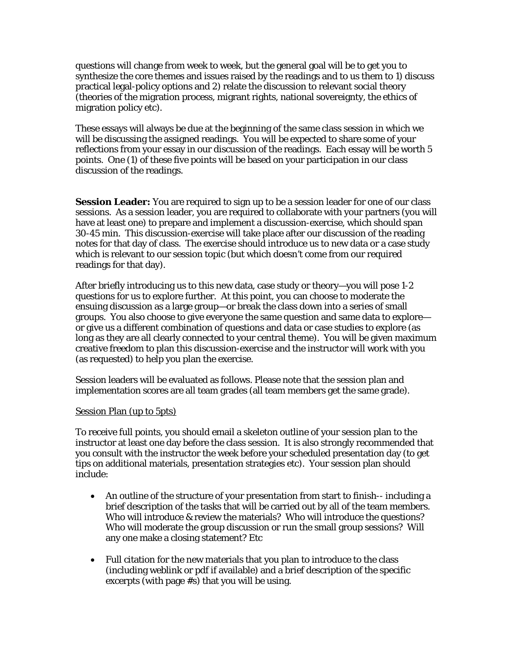questions will change from week to week, but the general goal will be to get you to synthesize the core themes and issues raised by the readings and to us them to 1) discuss practical legal-policy options and 2) relate the discussion to relevant social theory (theories of the migration process, migrant rights, national sovereignty, the ethics of migration policy etc).

These essays will always be due at the beginning of the same class session in which we will be discussing the assigned readings. You will be expected to share some of your reflections from your essay in our discussion of the readings. Each essay will be worth 5 points. One (1) of these five points will be based on your participation in our class discussion of the readings.

**Session Leader:** You are required to sign up to be a session leader for one of our class sessions. As a session leader, you are required to collaborate with your partners (you will have at least one) to prepare and implement a discussion-exercise, which should span 30-45 min. This discussion-exercise will take place after our discussion of the reading notes for that day of class. The exercise should introduce us to new data or a case study which is relevant to our session topic (but which doesn't come from our required readings for that day).

After briefly introducing us to this new data, case study or theory—you will pose 1-2 questions for us to explore further. At this point, you can choose to moderate the ensuing discussion as a large group—or break the class down into a series of small groups. You also choose to give everyone the same question and same data to explore or give us a different combination of questions and data or case studies to explore (as long as they are all clearly connected to your central theme). You will be given maximum creative freedom to plan this discussion-exercise and the instructor will work with you (as requested) to help you plan the exercise.

Session leaders will be evaluated as follows. Please note that the session plan and implementation scores are all team grades (all team members get the same grade).

### Session Plan (up to 5pts)

To receive full points, you should email a skeleton outline of your session plan to the instructor at least one day before the class session. It is also strongly recommended that you consult with the instructor the week before your scheduled presentation day (to get tips on additional materials, presentation strategies etc). Your session plan should include:

- An outline of the structure of your presentation from start to finish-- including a brief description of the tasks that will be carried out by all of the team members. Who will introduce & review the materials? Who will introduce the questions? Who will moderate the group discussion or run the small group sessions? Will any one make a closing statement? Etc
- Full citation for the new materials that you plan to introduce to the class (including weblink or pdf if available) and a brief description of the specific excerpts (with page #s) that you will be using.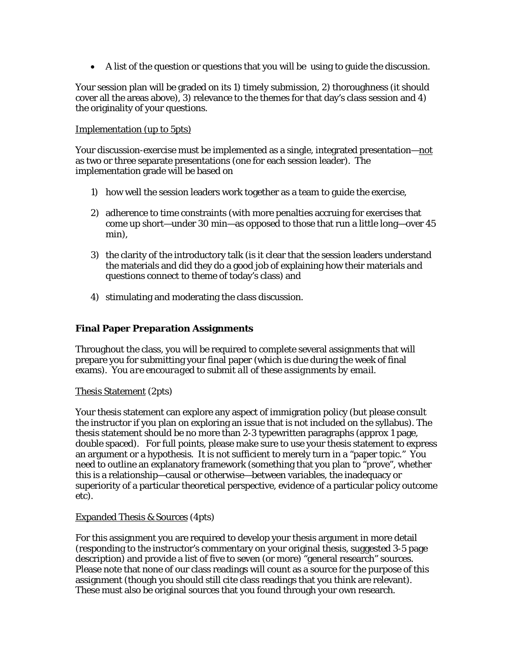A list of the question or questions that you will be using to guide the discussion.

Your session plan will be graded on its 1) timely submission, 2) thoroughness (it should cover all the areas above), 3) relevance to the themes for that day's class session and 4) the originality of your questions.

### Implementation (up to 5pts)

Your discussion-exercise must be implemented as a single, integrated presentation—not as two or three separate presentations (one for each session leader). The implementation grade will be based on

- 1) how well the session leaders work together as a team to guide the exercise,
- 2) adherence to time constraints (with more penalties accruing for exercises that come up short—under 30 min—as opposed to those that run a little long—over 45 min),
- 3) the clarity of the introductory talk (is it clear that the session leaders understand the materials and did they do a good job of explaining how their materials and questions connect to theme of today's class) and
- *4)* stimulating and moderating the class discussion.

## **Final Paper Preparation Assignments**

Throughout the class, you will be required to complete several assignments that will prepare you for submitting your final paper (which is due during the week of final exams). *You are encouraged to submit all of these assignments by email*.

### Thesis Statement (2pts)

Your thesis statement can explore any aspect of immigration policy (but please consult the instructor if you plan on exploring an issue that is not included on the syllabus). The thesis statement should be no more than 2-3 typewritten paragraphs (approx 1 page, double spaced). For full points, please make sure to use your thesis statement to express an argument or a hypothesis. It is not sufficient to merely turn in a "paper topic." You need to outline an explanatory framework (something that you plan to "prove", whether this is a relationship—causal or otherwise—between variables, the inadequacy or superiority of a particular theoretical perspective, evidence of a particular policy outcome etc).

### Expanded Thesis & Sources (4pts)

For this assignment you are required to develop your thesis argument in more detail (responding to the instructor's commentary on your original thesis, suggested 3-5 page description) and provide a list of five to seven (or more) "general research" sources. Please note that none of our class readings will count as a source for the purpose of this assignment (though you should still cite class readings that you think are relevant). These must also be original sources that you found through your own research.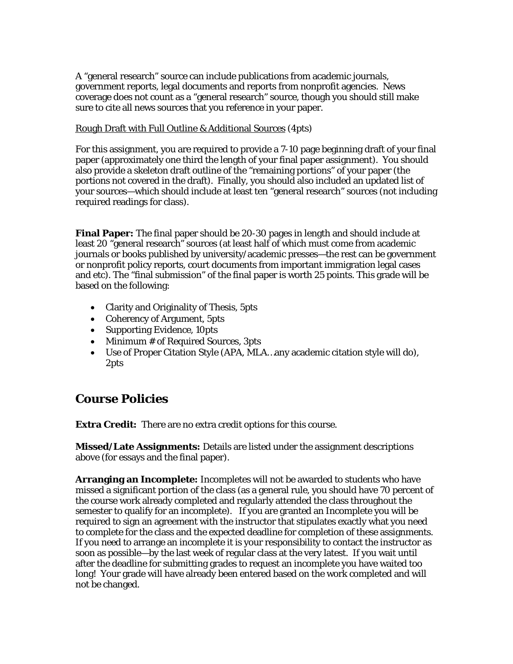A "general research" source can include publications from academic journals, government reports, legal documents and reports from nonprofit agencies. News coverage does not count as a "general research" source, though you should still make sure to cite all news sources that you reference in your paper.

## Rough Draft with Full Outline & Additional Sources (4pts)

For this assignment, you are required to provide a 7-10 page beginning draft of your final paper (approximately one third the length of your final paper assignment). You should also provide a skeleton draft outline of the "remaining portions" of your paper (the portions not covered in the draft). Finally, you should also included an updated list of your sources—which should include at least ten "general research" sources (not including required readings for class).

**Final Paper:** The final paper should be 20-30 pages in length and should include at least 20 "general research" sources (at least half of which must come from academic journals or books published by university/academic presses—the rest can be government or nonprofit policy reports, court documents from important immigration legal cases and etc). The "final submission" of the final paper is worth 25 points. This grade will be based on the following:

- Clarity and Originality of Thesis, 5pts
- Coherency of Argument, 5pts
- Supporting Evidence, 10pts
- Minimum # of Required Sources, 3pts
- Use of Proper Citation Style (APA, MLA…any academic citation style will do), 2pts

## **Course Policies**

**Extra Credit:** There are no extra credit options for this course.

**Missed/Late Assignments:** Details are listed under the assignment descriptions above (for essays and the final paper).

**Arranging an Incomplete:** Incompletes will not be awarded to students who have missed a significant portion of the class (as a general rule, you should have 70 percent of the course work already completed and regularly attended the class throughout the semester to qualify for an incomplete). If you are granted an Incomplete you will be required to sign an agreement with the instructor that stipulates exactly what you need to complete for the class and the expected deadline for completion of these assignments. If you need to arrange an incomplete it is your responsibility to contact the instructor as soon as possible—by the last week of regular class at the very latest. If you wait until after the deadline for submitting grades to request an incomplete you have waited too long! Your grade will have already been entered based on the work completed and will not be changed.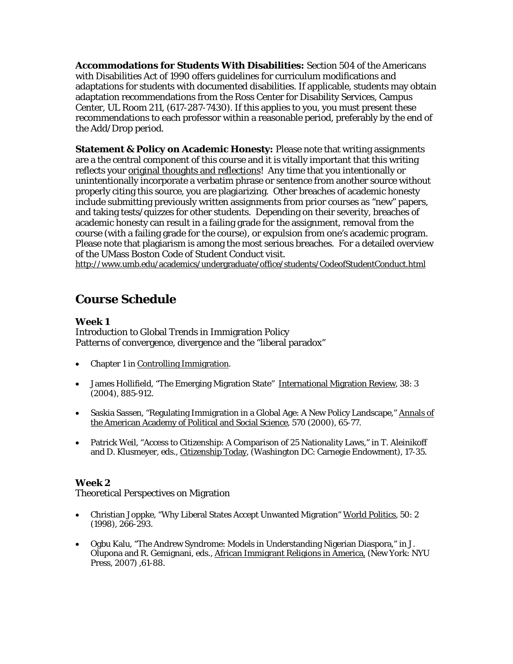**Accommodations for Students With Disabilities:** Section 504 of the Americans with Disabilities Act of 1990 offers guidelines for curriculum modifications and adaptations for students with documented disabilities. If applicable, students may obtain adaptation recommendations from the Ross Center for Disability Services, Campus Center, UL Room 211, (617-287-7430). If this applies to you, you must present these recommendations to each professor within a reasonable period, preferably by the end of the Add/Drop period.

**Statement & Policy on Academic Honesty:** Please note that writing assignments are a the central component of this course and it is vitally important that this writing reflects your original thoughts and reflections! Any time that you intentionally or unintentionally incorporate a verbatim phrase or sentence from another source without properly citing this source, you are plagiarizing. Other breaches of academic honesty include submitting previously written assignments from prior courses as "new" papers, and taking tests/quizzes for other students. Depending on their severity, breaches of academic honesty can result in a failing grade for the assignment, removal from the course (with a failing grade for the course), or expulsion from one's academic program. Please note that plagiarism is among the most serious breaches. For a detailed overview of the UMass Boston Code of Student Conduct visit.

http://www.umb.edu/academics/undergraduate/office/students/CodeofStudentConduct.html

## **Course Schedule**

## **Week 1**

Introduction to Global Trends in Immigration Policy Patterns of convergence, divergence and the "liberal paradox"

- Chapter 1 in Controlling Immigration.
- James Hollifield, "The Emerging Migration State" International Migration Review, 38: 3 (2004), 885-912.
- Saskia Sassen, "Regulating Immigration in a Global Age: A New Policy Landscape," Annals of the American Academy of Political and Social Science, 570 (2000), 65-77.
- Patrick Weil, "Access to Citizenship: A Comparison of 25 Nationality Laws," in T. Aleinikoff and D. Klusmeyer, eds., Citizenship Today, (Washington DC: Carnegie Endowment), 17-35.

## **Week 2**

Theoretical Perspectives on Migration

- Christian Joppke, "Why Liberal States Accept Unwanted Migration" World Politics, 50: 2 (1998), 266-293.
- Ogbu Kalu, "The Andrew Syndrome: Models in Understanding Nigerian Diaspora," in J. Olupona and R. Gemignani, eds., African Immigrant Religions in America, (New York: NYU Press, 2007) ,61-88.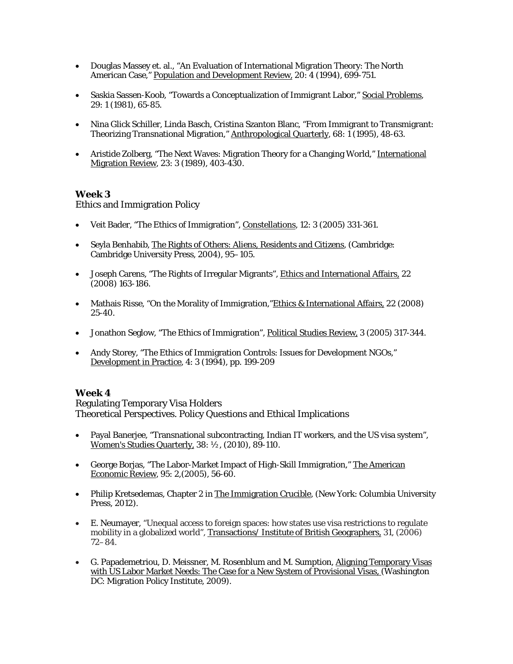- Douglas Massey et. al., "An Evaluation of International Migration Theory: The North American Case," Population and Development Review, 20: 4 (1994), 699-751.
- Saskia Sassen-Koob, "Towards a Conceptualization of Immigrant Labor," Social Problems, 29: 1 (1981), 65-85.
- Nina Glick Schiller, Linda Basch, Cristina Szanton Blanc, "From Immigrant to Transmigrant: Theorizing Transnational Migration," Anthropological Quarterly, 68: 1 (1995), 48-63.
- Aristide Zolberg, "The Next Waves: Migration Theory for a Changing World," International Migration Review, 23: 3 (1989), 403-430.

### Ethics and Immigration Policy

- Veit Bader, "The Ethics of Immigration", Constellations*,* 12: 3 (2005) 331-361.
- Seyla Benhabib, The Rights of Others: Aliens, Residents and Citizens*, (*Cambridge: Cambridge University Press, 2004), 95–105.
- Joseph Carens, "The Rights of Irregular Migrants", Ethics and International Affairs, 22 (2008) 163-186.
- Mathais Risse, "On the Morality of Immigration,"Ethics & International Affairs, 22 (2008) 25-40.
- Jonathon Seglow, "The Ethics of Immigration", Political Studies Review, 3 (2005) 317-344.
- Andy Storey, "The Ethics of Immigration Controls: Issues for Development NGOs," Development in Practice, 4: 3 (1994), pp. 199-209

### **Week 4**

Regulating Temporary Visa Holders Theoretical Perspectives. Policy Questions and Ethical Implications

- Payal Banerjee, "Transnational subcontracting, Indian IT workers, and the US visa system", Women's Studies Quarterly, 38: ½, (2010), 89-110.
- George Borjas, "The Labor-Market Impact of High-Skill Immigration," The American Economic Review, 95: 2,(2005), 56-60.
- Philip Kretsedemas, Chapter 2 in The Immigration Crucible, (New York: Columbia University Press, 2012).
- E. Neumayer, "Unequal access to foreign spaces: how states use visa restrictions to regulate mobility in a globalized world", Transactions/ Institute of British Geographers, 31, (2006) 72–84.
- G. Papademetriou, D. Meissner, M. Rosenblum and M. Sumption, Aligning Temporary Visas with US Labor Market Needs: The Case for a New System of Provisional Visas, (Washington DC: Migration Policy Institute, 2009).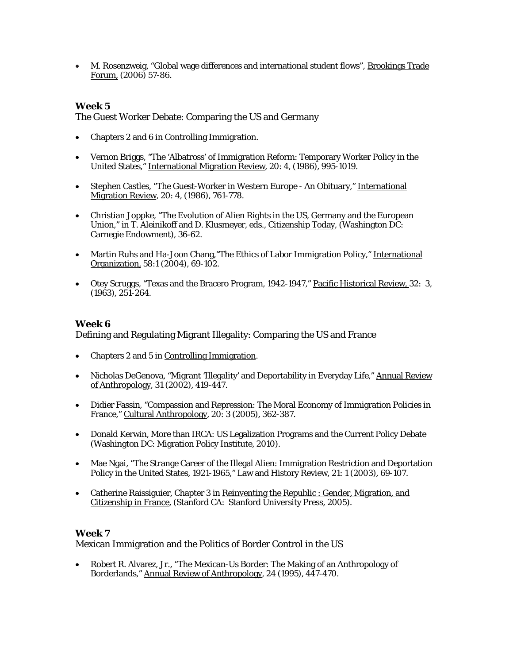M. Rosenzweig, "Global wage differences and international student flows", Brookings Trade Forum, (2006) 57-86.

## **Week 5**

The Guest Worker Debate: Comparing the US and Germany

- Chapters 2 and 6 in Controlling Immigration.
- Vernon Briggs, "The 'Albatross' of Immigration Reform: Temporary Worker Policy in the United States," International Migration Review, 20: 4, (1986), 995-1019.
- Stephen Castles, "The Guest-Worker in Western Europe An Obituary," International Migration Review, 20: 4, (1986), 761-778.
- Christian Joppke, "The Evolution of Alien Rights in the US, Germany and the European Union," in T. Aleinikoff and D. Klusmeyer, eds., Citizenship Today, (Washington DC: Carnegie Endowment), 36-62.
- Martin Ruhs and Ha-Joon Chang,"The Ethics of Labor Immigration Policy," International Organization, 58:1 (2004), 69-102.
- Otey Scruggs, "Texas and the Bracero Program, 1942-1947," Pacific Historical Review, 32: 3, (1963), 251-264.

### **Week 6**

Defining and Regulating Migrant Illegality: Comparing the US and France

- Chapters 2 and 5 in Controlling Immigration.
- Nicholas DeGenova, "Migrant 'Illegality' and Deportability in Everyday Life," Annual Review of Anthropology, 31 (2002), 419-447.
- Didier Fassin, "Compassion and Repression: The Moral Economy of Immigration Policies in France," Cultural Anthropology, 20: 3 (2005), 362-387.
- Donald Kerwin, More than IRCA: US Legalization Programs and the Current Policy Debate (Washington DC: Migration Policy Institute, 2010).
- Mae Ngai, "The Strange Career of the Illegal Alien: Immigration Restriction and Deportation Policy in the United States, 1921-1965," Law and History Review, 21: 1 (2003), 69-107.
- Catherine Raissiguier, Chapter 3 in Reinventing the Republic : Gender, Migration, and Citizenship in France, (Stanford CA: Stanford University Press, 2005).

### **Week 7**

Mexican Immigration and the Politics of Border Control in the US

 Robert R. Alvarez, Jr., "The Mexican-Us Border: The Making of an Anthropology of Borderlands," Annual Review of Anthropology, 24 (1995), 447-470.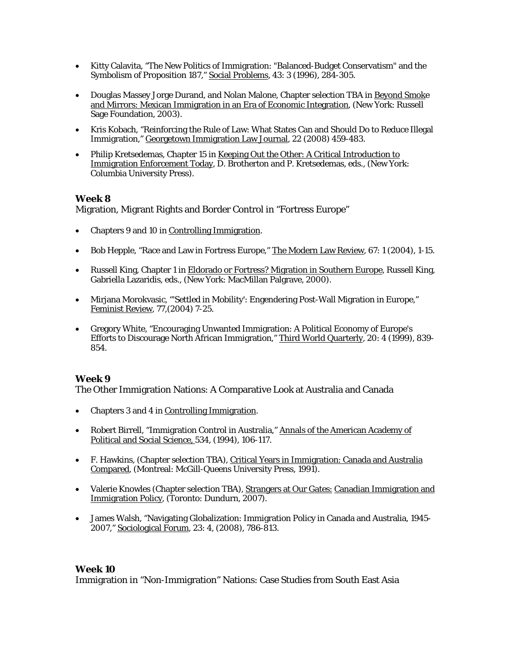- Kitty Calavita, "The New Politics of Immigration: "Balanced-Budget Conservatism" and the Symbolism of Proposition 187," Social Problems, 43: 3 (1996), 284-305.
- Douglas Massey Jorge Durand, and Nolan Malone, Chapter selection TBA in Beyond Smoke and Mirrors: Mexican Immigration in an Era of Economic Integration, (New York: Russell Sage Foundation, 2003).
- Kris Kobach, "Reinforcing the Rule of Law: What States Can and Should Do to Reduce Illegal Immigration," Georgetown Immigration Law Journal, 22 (2008) 459-483.
- Philip Kretsedemas, Chapter 15 in Keeping Out the Other: A Critical Introduction to Immigration Enforcement Today, D. Brotherton and P. Kretsedemas, eds., (New York: Columbia University Press).

Migration, Migrant Rights and Border Control in "Fortress Europe"

- Chapters 9 and 10 in Controlling Immigration.
- Bob Hepple, "Race and Law in Fortress Europe," The Modern Law Review, 67: 1 (2004), 1-15.
- Russell King, Chapter 1 in Eldorado or Fortress? Migration in Southern Europe, Russell King, Gabriella Lazaridis, eds., (New York: MacMillan Palgrave, 2000).
- Mirjana Morokvasic, "'Settled in Mobility': Engendering Post-Wall Migration in Europe," Feminist Review, 77,(2004) 7-25.
- Gregory White, "Encouraging Unwanted Immigration: A Political Economy of Europe's Efforts to Discourage North African Immigration," Third World Quarterly, 20: 4 (1999), 839- 854.

### **Week 9**

The Other Immigration Nations: A Comparative Look at Australia and Canada

- Chapters 3 and 4 in Controlling Immigration.
- Robert Birrell, "Immigration Control in Australia," Annals of the American Academy of Political and Social Science, 534, (1994), 106-117.
- F. Hawkins, (Chapter selection TBA), Critical Years in Immigration: Canada and Australia Compared, (Montreal: McGill-Queens University Press, 1991).
- Valerie Knowles (Chapter selection TBA), Strangers at Our Gates: Canadian Immigration and Immigration Policy, (Toronto: Dundurn, 2007).
- James Walsh, "Navigating Globalization: Immigration Policy in Canada and Australia, 1945- 2007," Sociological Forum*,* 23: 4, (2008), 786-813.

### **Week 10**

Immigration in "Non-Immigration" Nations: Case Studies from South East Asia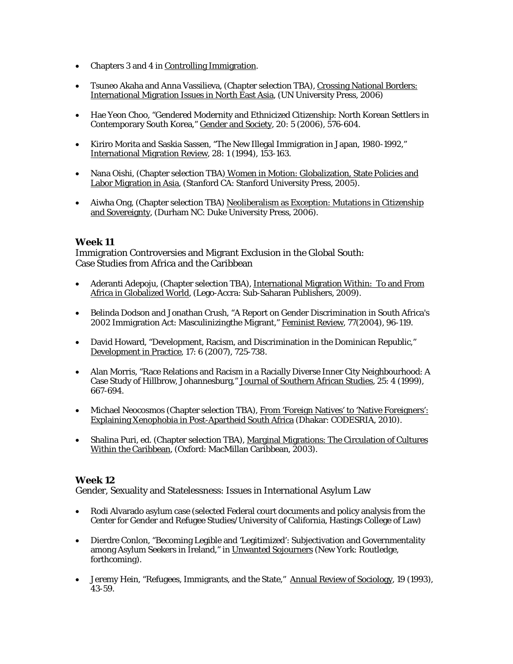- Chapters 3 and 4 in Controlling Immigration.
- Tsuneo Akaha and Anna Vassilieva, (Chapter selection TBA), Crossing National Borders: International Migration Issues in North East Asia, (UN University Press, 2006)
- Hae Yeon Choo, "Gendered Modernity and Ethnicized Citizenship: North Korean Settlers in Contemporary South Korea," Gender and Society, 20: 5 (2006), 576-604.
- Kiriro Morita and Saskia Sassen, "The New Illegal Immigration in Japan, 1980-1992," International Migration Review, 28: 1 (1994), 153-163.
- Nana Oishi, (Chapter selection TBA) Women in Motion: Globalization, State Policies and Labor Migration in Asia, (Stanford CA: Stanford University Press, 2005).
- Aiwha Ong, (Chapter selection TBA) Neoliberalism as Exception: Mutations in Citizenship and Sovereignty, (Durham NC: Duke University Press, 2006).

Immigration Controversies and Migrant Exclusion in the Global South: Case Studies from Africa and the Caribbean

- Aderanti Adepoju, (Chapter selection TBA), International Migration Within: To and From Africa in Globalized World, (Lego-Accra: Sub-Saharan Publishers, 2009).
- Belinda Dodson and Jonathan Crush, "A Report on Gender Discrimination in South Africa's 2002 Immigration Act: Masculinizingthe Migrant," Feminist Review, 77(2004), 96-119.
- David Howard, "Development, Racism, and Discrimination in the Dominican Republic," Development in Practice, 17: 6 (2007), 725-738.
- Alan Morris, "Race Relations and Racism in a Racially Diverse Inner City Neighbourhood: A Case Study of Hillbrow, Johannesburg," Journal of Southern African Studies, 25: 4 (1999), 667-694.
- Michael Neocosmos (Chapter selection TBA), From 'Foreign Natives' to 'Native Foreigners': Explaining Xenophobia in Post-Apartheid South Africa (Dhakar: CODESRIA, 2010).
- Shalina Puri, ed. (Chapter selection TBA), Marginal Migrations: The Circulation of Cultures Within the Caribbean, (Oxford: MacMillan Caribbean, 2003).

## **Week 12**

Gender, Sexuality and Statelessness: Issues in International Asylum Law

- Rodi Alvarado asylum case (selected Federal court documents and policy analysis from the Center for Gender and Refugee Studies/University of California, Hastings College of Law)
- Dierdre Conlon, "Becoming Legible and 'Legitimized': Subjectivation and Governmentality among Asylum Seekers in Ireland," in Unwanted Sojourners (New York: Routledge, forthcoming).
- Jeremy Hein, "Refugees, Immigrants, and the State," Annual Review of Sociology, 19 (1993), 43-59.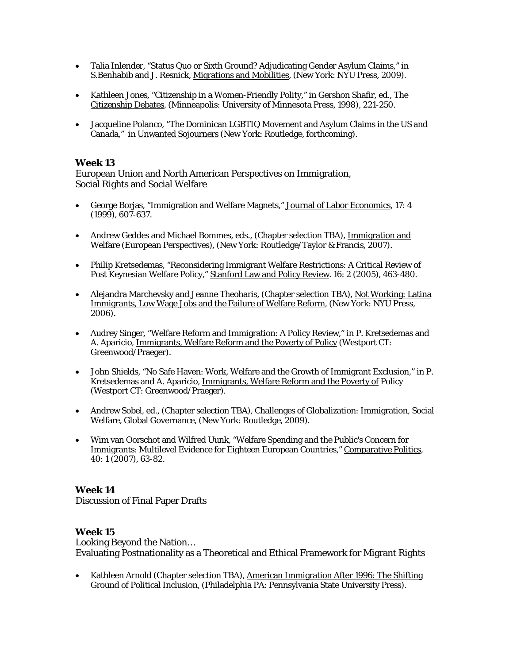- Talia Inlender, "Status Quo or Sixth Ground? Adjudicating Gender Asylum Claims," in S.Benhabib and J. Resnick, Migrations and Mobilities, (New York: NYU Press, 2009).
- Kathleen Jones, "Citizenship in a Women-Friendly Polity," in Gershon Shafir, ed., The Citizenship Debates, (Minneapolis: University of Minnesota Press, 1998), 221-250.
- Jacqueline Polanco, "The Dominican LGBTIQ Movement and Asylum Claims in the US and Canada," in Unwanted Sojourners (New York: Routledge, forthcoming).

European Union and North American Perspectives on Immigration, Social Rights and Social Welfare

- George Borjas, "Immigration and Welfare Magnets," Journal of Labor Economics, 17: 4 (1999), 607-637.
- Andrew Geddes and Michael Bommes, eds., (Chapter selection TBA), Immigration and Welfare (European Perspectives), (New York: Routledge/Taylor & Francis, 2007).
- Philip Kretsedemas, "Reconsidering Immigrant Welfare Restrictions: A Critical Review of Post Keynesian Welfare Policy," Stanford Law and Policy Review. 16: 2 (2005), 463-480.
- Alejandra Marchevsky and Jeanne Theoharis, (Chapter selection TBA), Not Working: Latina Immigrants, Low Wage Jobs and the Failure of Welfare Reform, (New York: NYU Press, 2006).
- Audrey Singer, "Welfare Reform and Immigration: A Policy Review," in P. Kretsedemas and A. Aparicio, Immigrants, Welfare Reform and the Poverty of Policy (Westport CT: Greenwood/Praeger).
- John Shields, "No Safe Haven: Work, Welfare and the Growth of Immigrant Exclusion," in P. Kretsedemas and A. Aparicio, Immigrants, Welfare Reform and the Poverty of Policy (Westport CT: Greenwood/Praeger).
- Andrew Sobel, ed., (Chapter selection TBA), Challenges of Globalization: Immigration, Social Welfare, Global Governance, (New York: Routledge, 2009).
- Wim van Oorschot and Wilfred Uunk, "Welfare Spending and the Public's Concern for Immigrants: Multilevel Evidence for Eighteen European Countries," Comparative Politics, 40: 1 (2007), 63-82.

### **Week 14**

Discussion of Final Paper Drafts

### **Week 15**

Looking Beyond the Nation… Evaluating Postnationality as a Theoretical and Ethical Framework for Migrant Rights

• Kathleen Arnold (Chapter selection TBA), American Immigration After 1996: The Shifting Ground of Political Inclusion, (Philadelphia PA: Pennsylvania State University Press).